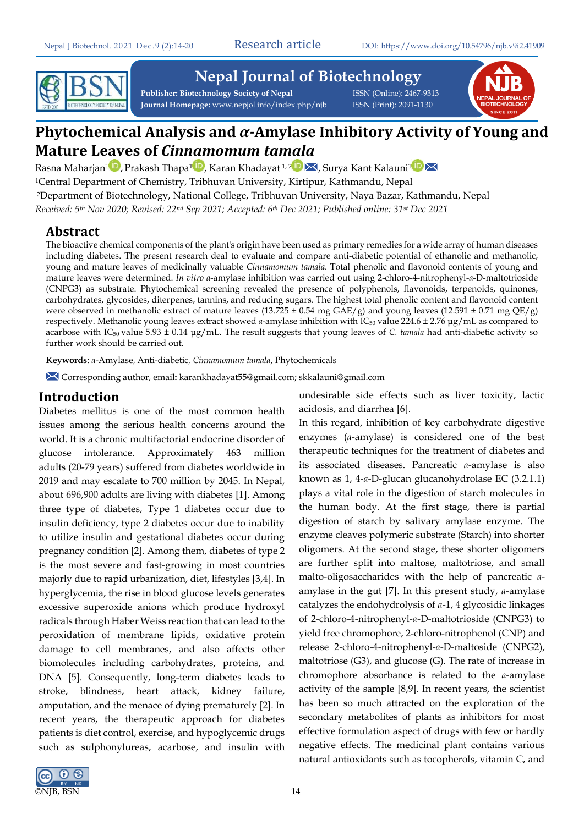

# **Nepal Journal of Biotechnology**

Publisher: Biotechnology Society of Nepal **ISSN** (Online): 2467-9313 **Journal Homepage:** www.nepjol.info/index.php/njb ISSN (Print): 2091-1130



# **Phytochemical Analysis and** *α-***Amylase Inhibitory Activity of Young and Mature Leaves of** *Cinnamomum tamala*

Rasna Maharjan<sup>1</sup> [,](https://orcid.org/0000-0003-4460-137X) Prakash Thapa<sup>[1](https://orcid.org/0000-0002-3559-9215)</sup> , Karan Khadayat <sup>1, [2](https://orcid.org/0000-0002-8125-9756)</sup>  $\blacktriangleright$  Surya Kant Kalauni<sup>1</sup> <sup>1</sup>Central Department of Chemistry, Tribhuvan University, Kirtipur, Kathmandu, Nepal <sup>2</sup>Department of Biotechnology, National College, Tribhuvan University, Naya Bazar, Kathmandu, Nepal *Received: 5 th Nov 2020; Revised: 22nd Sep 2021; Accepted: 6 th Dec 2021; Published online: 31st Dec 2021*

### **Abstract**

The bioactive chemical components of the plant's origin have been used as primary remedies for a wide array of human diseases including diabetes. The present research deal to evaluate and compare anti-diabetic potential of ethanolic and methanolic, young and mature leaves of medicinally valuable *Cinnamomum tamala*. Total phenolic and flavonoid contents of young and mature leaves were determined. *In vitro α*-amylase inhibition was carried out using 2-chloro-4-nitrophenyl-*α*-D-maltotrioside (CNPG3) as substrate. Phytochemical screening revealed the presence of polyphenols, flavonoids, terpenoids, quinones, carbohydrates, glycosides, diterpenes, tannins, and reducing sugars. The highest total phenolic content and flavonoid content were observed in methanolic extract of mature leaves (13.725  $\pm$  0.54 mg GAE/g) and young leaves (12.591  $\pm$  0.71 mg QE/g) respectively. Methanolic young leaves extract showed *α*-amylase inhibition with IC<sub>50</sub> value 224.6 ± 2.76 μg/mL as compared to acarbose with IC<sub>50</sub> value 5.93  $\pm$  0.14 µg/mL. The result suggests that young leaves of *C. tamala* had anti-diabetic activity so further work should be carried out.

**Keywords**: *α*-Amylase, Anti-diabetic*, Cinnamomum tamala*, Phytochemicals

Corresponding author, email**:** karankhadayat55@gmail.com; skkalauni@gmail.com

### **Introduction**

Diabetes mellitus is one of the most common health issues among the serious health concerns around the world. It is a chronic multifactorial endocrine disorder of glucose intolerance. Approximately 463 million adults (20-79 years) suffered from diabetes worldwide in 2019 and may escalate to 700 million by 2045. In Nepal, about 696,900 adults are living with diabetes [1]. Among three type of diabetes, Type 1 diabetes occur due to insulin deficiency, type 2 diabetes occur due to inability to utilize insulin and gestational diabetes occur during pregnancy condition [2]. Among them, diabetes of type 2 is the most severe and fast-growing in most countries majorly due to rapid urbanization, diet, lifestyles [3,4]. In hyperglycemia, the rise in blood glucose levels generates excessive superoxide anions which produce hydroxyl radicals through Haber Weiss reaction that can lead to the peroxidation of membrane lipids, oxidative protein damage to cell membranes, and also affects other biomolecules including carbohydrates, proteins, and DNA [5]. Consequently, long-term diabetes leads to stroke, blindness, heart attack, kidney failure, amputation, and the menace of dying prematurely [2]. In recent years, the therapeutic approach for diabetes patients is diet control, exercise, and hypoglycemic drugs such as sulphonylureas, acarbose, and insulin with



undesirable side effects such as liver toxicity, lactic acidosis, and diarrhea [6].

In this regard, inhibition of key carbohydrate digestive enzymes (*α*-amylase) is considered one of the best therapeutic techniques for the treatment of diabetes and its associated diseases. Pancreatic *α*-amylase is also known as 1, 4-*α*-D-glucan glucanohydrolase EC (3.2.1.1) plays a vital role in the digestion of starch molecules in the human body. At the first stage, there is partial digestion of starch by salivary amylase enzyme. The enzyme cleaves polymeric substrate (Starch) into shorter oligomers. At the second stage, these shorter oligomers are further split into maltose, maltotriose, and small malto-oligosaccharides with the help of pancreatic *α*amylase in the gut [7]. In this present study, *α*-amylase catalyzes the endohydrolysis of *α*-1, 4 glycosidic linkages of 2-chloro-4-nitrophenyl-*α*-D-maltotrioside (CNPG3) to yield free chromophore, 2-chloro-nitrophenol (CNP) and release 2-chloro-4-nitrophenyl-*α*-D-maltoside (CNPG2), maltotriose (G3), and glucose (G). The rate of increase in chromophore absorbance is related to the *α*-amylase activity of the sample [8,9]. In recent years, the scientist has been so much attracted on the exploration of the secondary metabolites of plants as inhibitors for most effective formulation aspect of drugs with few or hardly negative effects. The medicinal plant contains various natural antioxidants such as tocopherols, vitamin C, and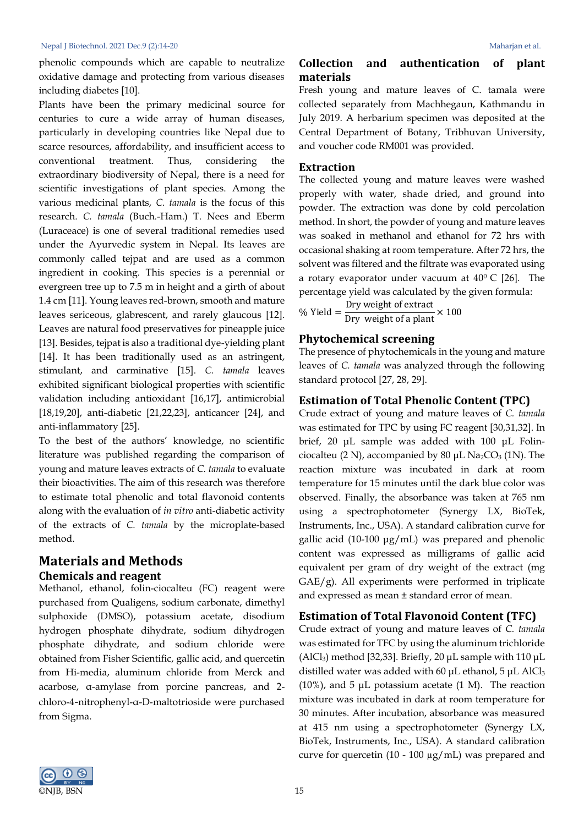phenolic compounds which are capable to neutralize oxidative damage and protecting from various diseases including diabetes [10].

Plants have been the primary medicinal source for centuries to cure a wide array of human diseases, particularly in developing countries like Nepal due to scarce resources, affordability, and insufficient access to conventional treatment. Thus, considering the extraordinary biodiversity of Nepal, there is a need for scientific investigations of plant species. Among the various medicinal plants, *C. tamala* is the focus of this research. *C. tamala* (Buch.-Ham.) T. Nees and Eberm (Luraceace) is one of several traditional remedies used under the Ayurvedic system in Nepal. Its leaves are commonly called tejpat and are used as a common ingredient in cooking. This species is a perennial or evergreen tree up to 7.5 m in height and a girth of about 1.4 cm [11]. Young leaves red-brown, smooth and mature leaves sericeous, glabrescent, and rarely glaucous [12]. Leaves are natural food preservatives for pineapple juice [13]. Besides, tejpat is also a traditional dye-yielding plant [14]. It has been traditionally used as an astringent, stimulant, and carminative [15]. *C. tamala* leaves exhibited significant biological properties with scientific validation including antioxidant [16,17], antimicrobial [18,19,20], anti-diabetic [21,22,23], anticancer [24], and anti-inflammatory [25].

To the best of the authors' knowledge, no scientific literature was published regarding the comparison of young and mature leaves extracts of *C. tamala* to evaluate their bioactivities. The aim of this research was therefore to estimate total phenolic and total flavonoid contents along with the evaluation of *in vitro* anti-diabetic activity of the extracts of *C. tamala* by the microplate-based method.

## **Materials and Methods Chemicals and reagent**

Methanol, ethanol, folin-ciocalteu (FC) reagent were purchased from Qualigens, sodium carbonate, dimethyl sulphoxide (DMSO), potassium acetate, disodium hydrogen phosphate dihydrate, sodium dihydrogen phosphate dihydrate, and sodium chloride were obtained from Fisher Scientific, gallic acid, and quercetin from Hi-media, aluminum chloride from Merck and acarbose, α-amylase from porcine pancreas, and 2 chloro-4-nitrophenyl-α-D-maltotrioside were purchased from Sigma.

### **Collection and authentication of plant materials**

Fresh young and mature leaves of C. tamala were collected separately from Machhegaun, Kathmandu in July 2019. A herbarium specimen was deposited at the Central Department of Botany, Tribhuvan University, and voucher code RM001 was provided.

#### **Extraction**

The collected young and mature leaves were washed properly with water, shade dried, and ground into powder. The extraction was done by cold percolation method. In short, the powder of young and mature leaves was soaked in methanol and ethanol for 72 hrs with occasional shaking at room temperature. After 72 hrs, the solvent was filtered and the filtrate was evaporated using a rotary evaporator under vacuum at  $40^{\circ}$  C [26]. The percentage yield was calculated by the given formula:

% Yield =  $\frac{Dry}{Dry}$  weight of extract  $\times 100$ 

### **Phytochemical screening**

The presence of phytochemicals in the young and mature leaves of *C. tamala* was analyzed through the following standard protocol [27, 28, 29].

### **Estimation of Total Phenolic Content (TPC)**

Crude extract of young and mature leaves of *C. tamala* was estimated for TPC by using FC reagent [30,31,32]. In brief, 20 μL sample was added with 100 μL Folinciocalteu (2 N), accompanied by 80 μL Na<sub>2</sub>CO<sub>3</sub> (1N). The reaction mixture was incubated in dark at room temperature for 15 minutes until the dark blue color was observed. Finally, the absorbance was taken at 765 nm using a spectrophotometer (Synergy LX, BioTek, Instruments, Inc., USA). A standard calibration curve for gallic acid (10-100 μg/mL) was prepared and phenolic content was expressed as milligrams of gallic acid equivalent per gram of dry weight of the extract (mg GAE/g). All experiments were performed in triplicate and expressed as mean ± standard error of mean.

### **Estimation of Total Flavonoid Content (TFC)**

Crude extract of young and mature leaves of *C. tamala* was estimated for TFC by using the aluminum trichloride (AlCl<sub>3</sub>) method [32,33]. Briefly, 20  $\mu$ L sample with 110  $\mu$ L distilled water was added with 60  $\mu$ L ethanol, 5  $\mu$ L AlCl<sub>3</sub> (10%), and 5  $\mu$ L potassium acetate (1 M). The reaction mixture was incubated in dark at room temperature for 30 minutes. After incubation, absorbance was measured at 415 nm using a spectrophotometer (Synergy LX, BioTek, Instruments, Inc., USA). A standard calibration curve for quercetin (10 - 100 µg/mL) was prepared and

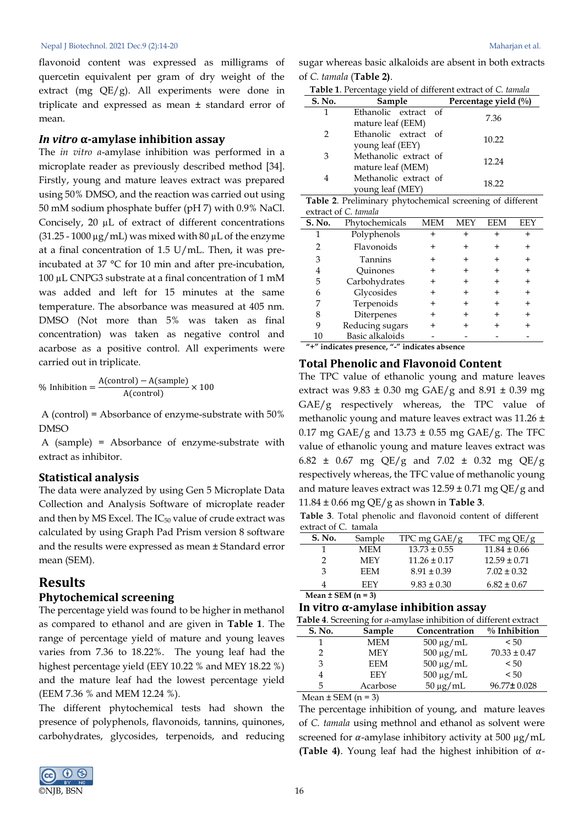flavonoid content was expressed as milligrams of quercetin equivalent per gram of dry weight of the extract (mg QE/g). All experiments were done in triplicate and expressed as mean ± standard error of mean.

### *In vitro* **α-amylase inhibition assay**

The *in vitro α*-amylase inhibition was performed in a microplate reader as previously described method [34]. Firstly, young and mature leaves extract was prepared using 50% DMSO, and the reaction was carried out using 50 mM sodium phosphate buffer (pH 7) with 0.9% NaCl. Concisely, 20 µL of extract of different concentrations  $(31.25 - 1000 \,\mu g/mL)$  was mixed with 80  $\mu$ L of the enzyme at a final concentration of 1.5 U/mL. Then, it was preincubated at 37 °C for 10 min and after pre-incubation, 100 µL CNPG3 substrate at a final concentration of 1 mM was added and left for 15 minutes at the same temperature. The absorbance was measured at 405 nm. DMSO (Not more than 5% was taken as final concentration) was taken as negative control and acarbose as a positive control. All experiments were carried out in triplicate.

$$
\% Inhibition = \frac{A(control) - A(sample)}{A(control)} \times 100
$$

A (control) = Absorbance of enzyme-substrate with 50% DMSO

A (sample) = Absorbance of enzyme-substrate with extract as inhibitor.

#### **Statistical analysis**

The data were analyzed by using Gen 5 Microplate Data Collection and Analysis Software of microplate reader and then by MS Excel. The  $IC_{50}$  value of crude extract was calculated by using Graph Pad Prism version 8 software and the results were expressed as mean ± Standard error mean (SEM).

### **Results Phytochemical screening**

The percentage yield was found to be higher in methanol as compared to ethanol and are given in **Table 1**. The range of percentage yield of mature and young leaves varies from 7.36 to 18.22%. The young leaf had the highest percentage yield (EEY 10.22 % and MEY 18.22 %) and the mature leaf had the lowest percentage yield (EEM 7.36 % and MEM 12.24 %).

The different phytochemical tests had shown the presence of polyphenols, flavonoids, tannins, quinones, carbohydrates, glycosides, terpenoids, and reducing



sugar whereas basic alkaloids are absent in both extracts of *C. tamala* (**Table 2)**.

|  | Table 1. Percentage yield of different extract of C. tamala |
|--|-------------------------------------------------------------|
|--|-------------------------------------------------------------|

| S. No. | Sample                | Percentage yield $(\%$ ) |  |
|--------|-----------------------|--------------------------|--|
| 1      | Ethanolic extract of  | 7.36                     |  |
|        | mature leaf (EEM)     |                          |  |
| 2      | Ethanolic extract of  | 10.22                    |  |
|        | young leaf (EEY)      |                          |  |
| 3      | Methanolic extract of |                          |  |
|        | mature leaf (MEM)     | 12.24                    |  |
| 4      | Methanolic extract of |                          |  |
|        | young leaf (MEY)      | 18.22                    |  |

**Table 2**. Preliminary phytochemical screening of different extract of *C. tamala*

| S. No.                                        | Phytochemicals  | MEM | MЕY | EEM | EE) |
|-----------------------------------------------|-----------------|-----|-----|-----|-----|
|                                               | Polyphenols     |     |     |     |     |
|                                               | Flavonoids      |     |     |     |     |
| 3                                             | <b>Tannins</b>  |     |     |     |     |
| 4                                             | Ouinones        |     |     |     |     |
| 5                                             | Carbohydrates   |     |     |     |     |
| 6                                             | Glycosides      |     |     |     |     |
|                                               | Terpenoids      | +   |     |     | +   |
| 8                                             | Diterpenes      | +   |     |     | +   |
| 9                                             | Reducing sugars |     |     |     |     |
| 10                                            | Basic alkaloids |     |     |     |     |
| "+" indicates presence, "-" indicates absence |                 |     |     |     |     |

## **Total Phenolic and Flavonoid Content**

The TPC value of ethanolic young and mature leaves extract was 9.83 ± 0.30 mg GAE/g and 8.91 ± 0.39 mg GAE/g respectively whereas, the TPC value of methanolic young and mature leaves extract was 11.26 ± 0.17 mg GAE/g and 13.73  $\pm$  0.55 mg GAE/g. The TFC value of ethanolic young and mature leaves extract was 6.82  $\pm$  0.67 mg QE/g and 7.02  $\pm$  0.32 mg QE/g respectively whereas, the TFC value of methanolic young and mature leaves extract was  $12.59 \pm 0.71$  mg QE/g and 11.84 ± 0.66 mg QE/g as shown in **Table 3**.

**Table 3**. Total phenolic and flavonoid content of different extract of C. tamala

| S. No. | Sample | TPC mg $GAE/g$   | TFC mg $QE/g$    |
|--------|--------|------------------|------------------|
|        | MEM    | $13.73 \pm 0.55$ | $11.84 \pm 0.66$ |
| っ      | MEY    | $11.26 \pm 0.17$ | $12.59 \pm 0.71$ |
| 3      | EEM    | $8.91 \pm 0.39$  | $7.02 \pm 0.32$  |
| 4      | FFY    | $9.83 \pm 0.30$  | $6.82 \pm 0.67$  |
|        |        |                  |                  |

**Mean ± SEM (n = 3)**

#### **In vitro α-amylase inhibition assay**

| Table 4. Screening for a-amylase inhibition of different extract |            |                |                  |
|------------------------------------------------------------------|------------|----------------|------------------|
| S. No.                                                           | Sample     | Concentration  | $\%$ Inhibition  |
| 1                                                                | <b>MEM</b> | $500 \mu g/mL$ | < 50             |
| $\mathcal{P}$                                                    | <b>MEY</b> | $500 \mu g/mL$ | $70.33 \pm 0.47$ |
| 3                                                                | <b>EEM</b> | $500 \mu g/mL$ | < 50             |
| 4                                                                | EEY        | $500 \mu g/mL$ | < 50             |
| 5                                                                | Acarbose   | $50 \mu g/mL$  | 96.77±0.028      |
|                                                                  |            |                |                  |

Mean  $\pm$  SEM (n = 3)

The percentage inhibition of young, and mature leaves of *C. tamala* using methnol and ethanol as solvent were screened for  $\alpha$ -amylase inhibitory activity at 500  $\mu$ g/mL **(Table 4)**. Young leaf had the highest inhibition of  $\alpha$ -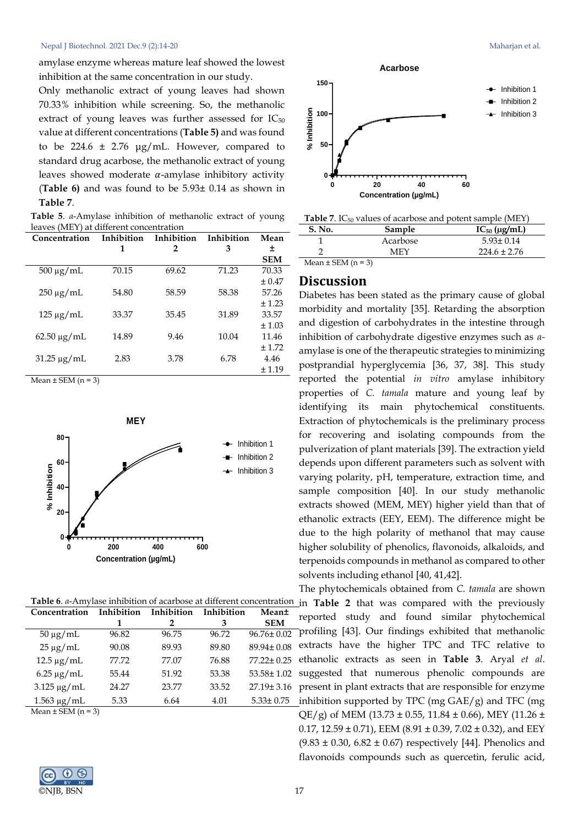amylase enzyme whereas mature leaf showed the lowest inhibition at the same concentration in our study.

Only methanolic extract of young leaves had shown 70.33% inhibition while screening. So, the methanolic extract of young leaves was further assessed for  $IC_{50}$ value at different concentrations (**Table 5)** and was found to be 224.6  $\pm$  2.76  $\mu$ g/mL. However, compared to standard drug acarbose, the methanolic extract of young leaves showed moderate  $\alpha$ -amylase inhibitory activity (**Table 6)** and was found to be 5.93± 0.14 as shown in **Table 7**.

**Table 5**. *α*-Amylase inhibition of methanolic extract of young leaves (MEY) at different concentration

| Concentration      | Inhibition | Inhibition | Inhibition | Mean       |
|--------------------|------------|------------|------------|------------|
|                    | 1          | 2          | 3          | ±          |
|                    |            |            |            | <b>SEM</b> |
| $500 \mu g/mL$     | 70.15      | 69.62      | 71.23      | 70.33      |
|                    |            |            |            | ± 0.47     |
| $250 \mu g/mL$     | 54.80      | 58.59      | 58.38      | 57.26      |
|                    |            |            |            | ± 1.23     |
| $125 \mu g/mL$     | 33.37      | 35.45      | 31.89      | 33.57      |
|                    |            |            |            | ± 1.03     |
| $62.50 \mu g/mL$   | 14.89      | 9.46       | 10.04      | 11.46      |
|                    |            |            |            | ± 1.72     |
| $31.25 \,\mu g/mL$ | 2.83       | 3.78       | 6.78       | 4.46       |
|                    |            |            |            | ± 1.19     |
|                    |            |            |            |            |

Mean  $\pm$  SEM (n = 3)



| Concentration               | Inhibition | Inhibition | Inhibition | Mean±            |
|-----------------------------|------------|------------|------------|------------------|
|                             |            | 2          | 3          | <b>SEM</b>       |
| $50 \mu g/mL$               | 96.82      | 96.75      | 96.72      | $96.76 \pm 0.02$ |
| $25 \mu g/mL$               | 90.08      | 89.93      | 89.80      | 89.94±0.08       |
| $12.5 \,\mu g/mL$           | 77.72      | 77.07      | 76.88      | 77.22±0.25       |
| $6.25 \mu g/mL$             | 55.44      | 51.92      | 53.38      | $53.58 \pm 1.02$ |
| $3.125 \mu g/mL$            | 24.27      | 23.77      | 33.52      | $27.19 \pm 3.16$ |
| $1.563 \,\mu g/mL$          | 5.33       | 6.64       | 4.01       | $5.33 \pm 0.75$  |
| $M_{\text{max}} + CEML = 2$ |            |            |            |                  |

Mean  $\pm$  SEM (n = 3)





| Table 7. IC <sub>50</sub> values of acarbose and potent sample (MEY) |  |  |
|----------------------------------------------------------------------|--|--|
|----------------------------------------------------------------------|--|--|

| <b>S. No.</b>          | Sample   | $IC_{50}$ (µg/mL) |
|------------------------|----------|-------------------|
|                        | Acarbose | $5.93 \pm 0.14$   |
|                        | MFY      | $224.6 \pm 2.76$  |
| Mean $\pm$ SEM (n = 3) |          |                   |

### **Discussion**

Diabetes has been stated as the primary cause of global morbidity and mortality [35]. Retarding the absorption and digestion of carbohydrates in the intestine through inhibition of carbohydrate digestive enzymes such as *α*amylase is one of the therapeutic strategies to minimizing postprandial hyperglycemia [36, 37, 38]. This study reported the potential *in vitro* amylase inhibitory properties of *C. tamala* mature and young leaf by identifying its main phytochemical constituents. Extraction of phytochemicals is the preliminary process for recovering and isolating compounds from the pulverization of plant materials [39]. The extraction yield depends upon different parameters such as solvent with varying polarity, pH, temperature, extraction time, and sample composition [40]. In our study methanolic extracts showed (MEM, MEY) higher yield than that of ethanolic extracts (EEY, EEM). The difference might be due to the high polarity of methanol that may cause higher solubility of phenolics, flavonoids, alkaloids, and terpenoids compounds in methanol as compared to other solvents including ethanol [40, 41,42].

The phytochemicals obtained from *C. tamala* are shown **1** in **Table 2** that was compared with the previously reported study and found similar phytochemical profiling [43]. Our findings exhibited that methanolic extracts have the higher TPC and TFC relative to ethanolic extracts as seen in **Table 3**. Aryal *et al*. suggested that numerous phenolic compounds are present in plant extracts that are responsible for enzyme inhibition supported by TPC (mg GAE/g) and TFC (mg QE/g) of MEM (13.73  $\pm$  0.55, 11.84  $\pm$  0.66), MEY (11.26  $\pm$ 0.17, 12.59  $\pm$  0.71), EEM (8.91  $\pm$  0.39, 7.02  $\pm$  0.32), and EEY  $(9.83 \pm 0.30, 6.82 \pm 0.67)$  respectively [44]. Phenolics and flavonoids compounds such as quercetin, ferulic acid,

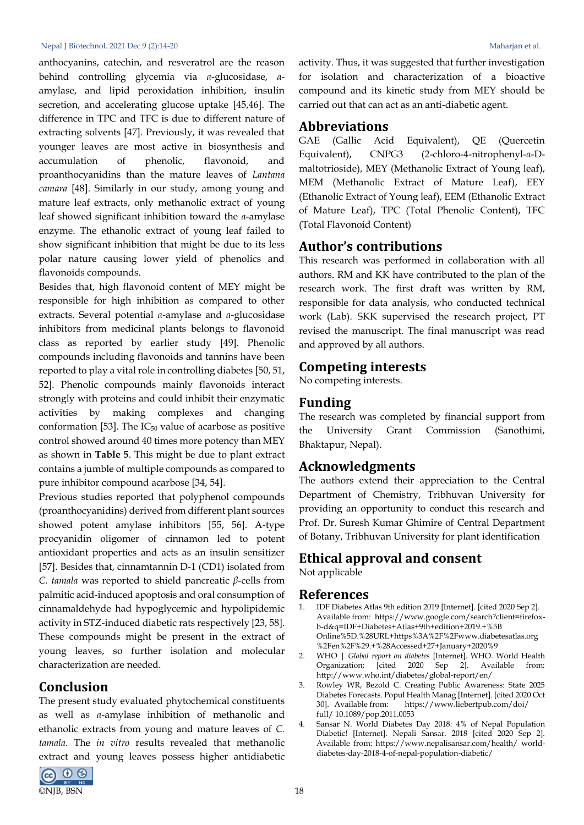#### Nepal J Biotechnol. 2021 Dec.9 (2):14-20 Maharjan et al.

anthocyanins, catechin, and resveratrol are the reason behind controlling glycemia via *α*-glucosidase, *α*amylase, and lipid peroxidation inhibition, insulin secretion, and accelerating glucose uptake [45,46]. The difference in TPC and TFC is due to different nature of extracting solvents [47]. Previously, it was revealed that younger leaves are most active in biosynthesis and accumulation of phenolic, flavonoid, and proanthocyanidins than the mature leaves of *Lantana camara* [48]. Similarly in our study, among young and mature leaf extracts, only methanolic extract of young leaf showed significant inhibition toward the *α*-amylase enzyme. The ethanolic extract of young leaf failed to show significant inhibition that might be due to its less polar nature causing lower yield of phenolics and flavonoids compounds.

Besides that, high flavonoid content of MEY might be responsible for high inhibition as compared to other extracts. Several potential *α*-amylase and *α*-glucosidase inhibitors from medicinal plants belongs to flavonoid class as reported by earlier study [49]. Phenolic compounds including flavonoids and tannins have been reported to play a vital role in controlling diabetes [50, 51, 52]. Phenolic compounds mainly flavonoids interact strongly with proteins and could inhibit their enzymatic activities by making complexes and changing conformation [53]. The  $IC_{50}$  value of acarbose as positive control showed around 40 times more potency than MEY as shown in **Table 5**. This might be due to plant extract contains a jumble of multiple compounds as compared to pure inhibitor compound acarbose [34, 54].

Previous studies reported that polyphenol compounds (proanthocyanidins) derived from different plant sources showed potent amylase inhibitors [55, 56]. A-type procyanidin oligomer of cinnamon led to potent antioxidant properties and acts as an insulin sensitizer [57]. Besides that, cinnamtannin D-1 (CD1) isolated from *C. tamala* was reported to shield pancreatic *β*-cells from palmitic acid-induced apoptosis and oral consumption of cinnamaldehyde had hypoglycemic and hypolipidemic activity in STZ-induced diabetic rats respectively [23, 58]. These compounds might be present in the extract of young leaves, so further isolation and molecular characterization are needed.

### **Conclusion**

The present study evaluated phytochemical constituents as well as *α*-amylase inhibition of methanolic and ethanolic extracts from young and mature leaves of *C. tamala*. The *in vitro* results revealed that methanolic extract and young leaves possess higher antidiabetic



activity. Thus, it was suggested that further investigation for isolation and characterization of a bioactive compound and its kinetic study from MEY should be carried out that can act as an anti-diabetic agent.

### **Abbreviations**

GAE (Gallic Acid Equivalent), QE (Quercetin Equivalent), CNPG3 (2-chloro-4-nitrophenyl-*α*-Dmaltotrioside), MEY (Methanolic Extract of Young leaf), MEM (Methanolic Extract of Mature Leaf), EEY (Ethanolic Extract of Young leaf), EEM (Ethanolic Extract of Mature Leaf), TPC (Total Phenolic Content), TFC (Total Flavonoid Content)

### **Author's contributions**

This research was performed in collaboration with all authors. RM and KK have contributed to the plan of the research work. The first draft was written by RM, responsible for data analysis, who conducted technical work (Lab). SKK supervised the research project, PT revised the manuscript. The final manuscript was read and approved by all authors.

### **Competing interests**

No competing interests.

## **Funding**

The research was completed by financial support from the University Grant Commission (Sanothimi, Bhaktapur, Nepal).

## **Acknowledgments**

The authors extend their appreciation to the Central Department of Chemistry, Tribhuvan University for providing an opportunity to conduct this research and Prof. Dr. Suresh Kumar Ghimire of Central Department of Botany, Tribhuvan University for plant identification

# **Ethical approval and consent**

Not applicable

### **References**

- 1. IDF Diabetes Atlas 9th edition 2019 [Internet]. [cited 2020 Sep 2]. Available from: https://www.google.com/search?client=firefoxb-d&q=IDF+Diabetes+Atlas+9th+edition+2019.+%5B Online%5D.%28URL+https%3A%2F%2Fwww.diabetesatlas.org %2Fen%2F%29.+%28Accessed+27+January+2020%9
- 2. WHO | *Global report on diabetes* [Internet]. WHO. World Health Organization; [cited 2020 Sep 2]. Available from: http://www.who.int/diabetes/global-report/en/
- 3. Rowley WR, Bezold C. Creating Public Awareness: State 2025 Diabetes Forecasts. Popul Health Manag [Internet]. [cited 2020 Oct 30]. Available from: https://www.liebertpub.com/doi/ full/ 10.1089/pop.2011.0053
- 4. Sansar N. World Diabetes Day 2018: 4% of Nepal Population Diabetic! [Internet]. Nepali Sansar. 2018 [cited 2020 Sep 2]. Available from: https://www.nepalisansar.com/health/ worlddiabetes-day-2018-4-of-nepal-population-diabetic/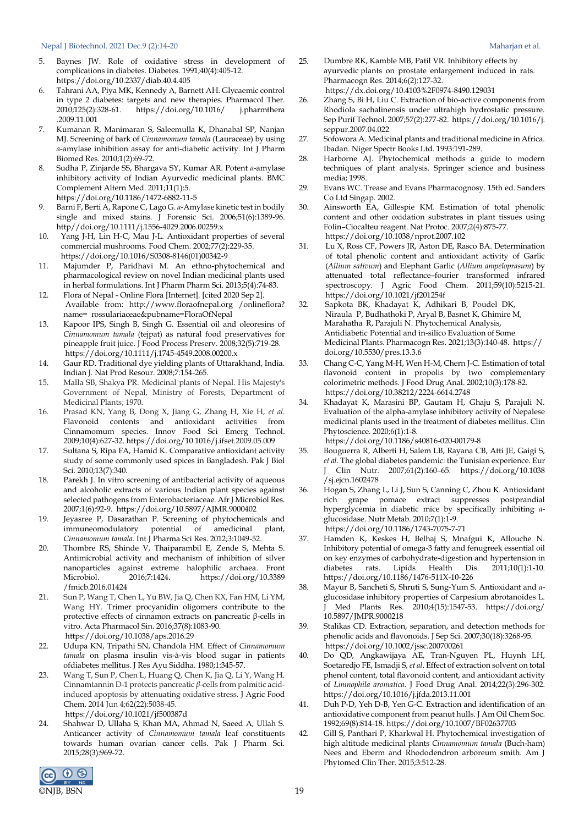#### Nepal J Biotechnol. 2021 Dec.9 (2):14-20 Maharjan et al.

- 5. Baynes JW. Role of oxidative stress in development of complications in diabetes. Diabetes. 1991;40(4):405-12. https://doi.org/10.2337/diab.40.4.405
- 6. Tahrani AA, Piya MK, Kennedy A, Barnett AH. Glycaemic control in type 2 diabetes: targets and new therapies. Pharmacol Ther. 2010;125(2):328-61. https://doi.org/10.1016/ j.pharmthera .2009.11.001
- 7. Kumanan R, Manimaran S, Saleemulla K, Dhanabal SP, Nanjan MJ. Screening of bark of *Cinnamomum tamala* (Lauraceae) by using *α*-amylase inhibition assay for anti-diabetic activity. Int J Pharm Biomed Res. 2010;1(2):69-72.
- 8. Sudha P, Zinjarde SS, Bhargava SY, Kumar AR. Potent *α*-amylase inhibitory activity of Indian Ayurvedic medicinal plants. BMC Complement Altern Med. 2011;11(1):5. https://doi.org/10.1186/1472-6882-11-5
- 9. Barni F, Berti A, Rapone C, Lago G. *α*-Amylase kinetic test in bodily single and mixed stains. J Forensic Sci. 2006;51(6):1389-96. http//doi.org/10.1111/j.1556-4029.2006.00259.x
- 10. Yang J-H, Lin H-C, Mau J-L. Antioxidant properties of several commercial mushrooms. Food Chem. 2002;77(2):229-35. https://doi.org/10.1016/S0308-8146(01)00342-9
- 11. Majumder P, Paridhavi M. An ethno-phytochemical and pharmacological review on novel Indian medicinal plants used in herbal formulations. Int J Pharm Pharm Sci. 2013;5(4):74-83.
- 12. Flora of Nepal Online Flora [Internet]. [cited 2020 Sep 2]. Available from: http://www.floraofnepal.org /onlineflora? name= rossulariaceae&pubname=FloraOfNepal
- 13. Kapoor IPS, Singh B, Singh G. Essential oil and oleoresins of *Cinnamomum tamala* (tejpat) as natural food preservatives for pineapple fruit juice. J Food Process Preserv. 2008;32(5):719-28. https://doi.org/10.1111/j.1745-4549.2008.00200.x
- 14. Gaur RD. Traditional dye yielding plants of Uttarakhand, India. Indian J. Nat Prod Resour. 2008;7:154-265.
- 15. Malla SB, Shakya PR. Medicinal plants of Nepal. His Majesty's Government of Nepal, Ministry of Forests, Department of Medicinal Plants; 1970.
- 16. Prasad KN, Yang B, Dong X, Jiang G, Zhang H, Xie H, *et al*. Flavonoid contents and antioxidant activities from Cinnamomum species. Innov Food Sci Emerg Technol. 2009;10(4):627-32. https://doi.org/10.1016/j.ifset.2009.05.009
- 17. Sultana S, Ripa FA, Hamid K. Comparative antioxidant activity study of some commonly used spices in Bangladesh. Pak J Biol Sci. 2010;13(7):340.
- 18. Parekh J. In vitro screening of antibacterial activity of aqueous and alcoholic extracts of various Indian plant species against selected pathogens from Enterobacteriaceae. Afr J Microbiol Res. 2007;1(6):92-9. https://doi.org/10.5897/AJMR.9000402
- 19. Jeyasree P, Dasarathan P. Screening of phytochemicals and immuneomodulatory potential of amedicinal plant, *Cinnamomum tamala*. Int J Pharma Sci Res. 2012;3:1049-52.
- 20. Thombre RS, Shinde V, Thaiparambil E, Zende S, Mehta S. Antimicrobial activity and mechanism of inhibition of silver nanoparticles against extreme halophilic archaea. Front Microbiol. 2016;7:1424. https://doi.org/10.3389 /fmicb.2016.01424
- 21. Sun P, Wang T, Chen L, Yu BW, Jia Q, Chen KX, Fan HM, Li YM, Wang HY. Trimer procyanidin oligomers contribute to the protective effects of cinnamon extracts on pancreatic β-cells in vitro. Acta Pharmacol Sin. 2016;37(8):1083-90. https://doi.org/10.1038/aps.2016.29
- 22. Udupa KN, Tripathi SN, Chandola HM. Effect of *Cinnamomum tamala* on plasma insulin vis-à-vis blood sugar in patients ofdiabetes mellitus. J Res Ayu Siddha. 1980;1:345-57.
- 23. Wang T, Sun P, Chen L, Huang Q, Chen K, Jia Q, Li Y, Wang H. Cinnamtannin D-1 protects pancreatic *β*-cells from palmitic acidinduced apoptosis by attenuating oxidative stress. J Agric Food Chem. 2014 Jun 4;62(22):5038-45. https://doi.org/10.1021/jf500387d
- 24. Shahwar D, Ullaha S, Khan MA, Ahmad N, Saeed A, Ullah S. Anticancer activity of *Cinnamomum tamala* leaf constituents towards human ovarian cancer cells. Pak J Pharm Sci. 2015;28(3):969-72.



- 25. Dumbre RK, Kamble MB, Patil VR. Inhibitory effects by ayurvedic plants on prostate enlargement induced in rats. Pharmacogn Res. 2014;6(2):127-32. https://dx.doi.org/10.4103%2F0974-8490.129031
- 26. Zhang S, Bi H, Liu C. Extraction of bio-active components from Rhodiola sachalinensis under ultrahigh hydrostatic pressure. Sep Purif Technol. 2007;57(2):277-82. https://doi.org/10.1016/j. seppur.2007.04.022
- 27. Sofowora A. Medicinal plants and traditional medicine in Africa. Ibadan. Niger Spectr Books Ltd. 1993:191-289.
- 28. Harborne AJ. Phytochemical methods a guide to modern techniques of plant analysis. Springer science and business media; 1998.
- 29. Evans WC. Trease and Evans Pharmacognosy. 15th ed. Sanders Co Ltd Singap. 2002.
- 30. Ainsworth EA, Gillespie KM. Estimation of total phenolic content and other oxidation substrates in plant tissues using Folin–Ciocalteu reagent. Nat Protoc. 2007;2(4):875-77. https://doi.org/10.1038/nprot.2007.102
- 31. Lu X, Ross CF, Powers JR, Aston DE, Rasco BA. Determination of total phenolic content and antioxidant activity of Garlic (*Allium sativum*) and Elephant Garlic (*Allium ampeloprasum*) by attenuated total reflectance–fourier transformed infrared spectroscopy. J Agric Food Chem. 2011;59(10):5215-21. https://doi.org/10.1021/jf201254f
- 32. Sapkota BK, Khadayat K, Adhikari B, Poudel DK, Niraula P, Budhathoki P, Aryal B, Basnet K, Ghimire M, Marahatha R, Parajuli N. Phytochemical Analysis, Antidiabetic Potential and in-silico Evaluation of Some Medicinal Plants. Pharmacogn Res. 2021;13(3):140-48. https:// doi.org/10.5530/pres.13.3.6
- 33. Chang C-C, Yang M-H, Wen H-M, Chern J-C. Estimation of total flavonoid content in propolis by two complementary colorimetric methods. J Food Drug Anal. 2002;10(3):178-82. https://doi.org/10.38212/2224-6614.2748
- 34. Khadayat K, Marasini BP, Gautam H, Ghaju S, Parajuli N. Evaluation of the alpha-amylase inhibitory activity of Nepalese medicinal plants used in the treatment of diabetes mellitus. Clin Phytoscience. 2020;6(1):1-8. https://doi.org/10.1186/s40816-020-00179-8
- 35. Bouguerra R, Alberti H, Salem LB, Rayana CB, Atti JE, Gaigi S, *et al*. The global diabetes pandemic: the Tunisian experience. Eur J Clin Nutr. 2007;61(2):160–65. https://doi.org/10.1038 /sj.ejcn.1602478
- 36. Hogan S, Zhang L, Li J, Sun S, Canning C, Zhou K. Antioxidant rich grape pomace extract suppresses postprandial hyperglycemia in diabetic mice by specifically inhibiting *α*glucosidase. Nutr Metab. 2010;7(1):1-9. https://doi.org/10.1186/1743-7075-7-71
- 37. Hamden K, Keskes H, Belhaj S, Mnafgui K, Allouche N. Inhibitory potential of omega-3 fatty and fenugreek essential oil on key enzymes of carbohydrate-digestion and hypertension in diabetes rats. Lipids Health Dis. 2011;10(1):1-10. https://doi.org/10.1186/1476-511X-10-226
- 38. Mayur B, Sancheti S, Shruti S, Sung-Yum S. Antioxidant and *α*glucosidase inhibitory properties of Carpesium abrotanoides L. J Med Plants Res. 2010;4(15):1547-53. https://doi.org/ 10.5897/JMPR.9000218
- 39. Stalikas CD. Extraction, separation, and detection methods for phenolic acids and flavonoids. J Sep Sci. 2007;30(18):3268-95. https://doi.org/10.1002/jssc.200700261
- 40. Do QD, Angkawijaya AE, Tran-Nguyen PL, Huynh LH, Soetaredjo FE, Ismadji S, *et al*. Effect of extraction solvent on total phenol content, total flavonoid content, and antioxidant activity of *Limnophila aromatica*. J Food Drug Anal. 2014;22(3):296-302. https://doi.org/10.1016/j.jfda.2013.11.001
- 41. Duh P-D, Yeh D-B, Yen G-C. Extraction and identification of an antioxidative component from peanut hulls. J Am Oil Chem Soc. 1992;69(8):814-18. https://doi.org/10.1007/BF02637703
- 42. Gill S, Panthari P, Kharkwal H. Phytochemical investigation of high altitude medicinal plants *Cinnamomum tamala* (Buch-ham) Nees and Eberm and Rhododendron arboreum smith. Am J Phytomed Clin Ther. 2015;3:512-28.